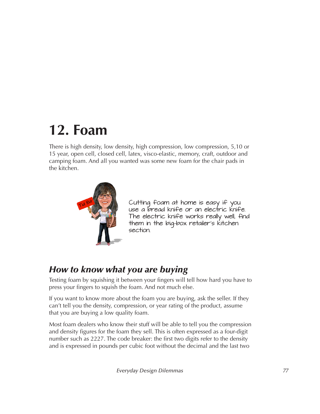# **12. Foam**

There is high density, low density, high compression, low compression, 5,10 or 15 year, open cell, closed cell, latex, visco-elastic, memory, craft, outdoor and camping foam. And all you wanted was some new foam for the chair pads in the kitchen.



Cutting foam at home is easy if you use a bread knife or an electric knife. The electric knife works really well, find them in the big-box retailer's kitchen section.

### *How to know what you are buying*

Testing foam by squishing it between your fingers will tell how hard you have to press your fingers to squish the foam. And not much else.

If you want to know more about the foam you are buying, ask the seller. If they can't tell you the density, compression, or year rating of the product, assume that you are buying a low quality foam.

Most foam dealers who know their stuff will be able to tell you the compression and density figures for the foam they sell. This is often expressed as a four-digit number such as 2227. The code breaker: the first two digits refer to the density and is expressed in pounds per cubic foot without the decimal and the last two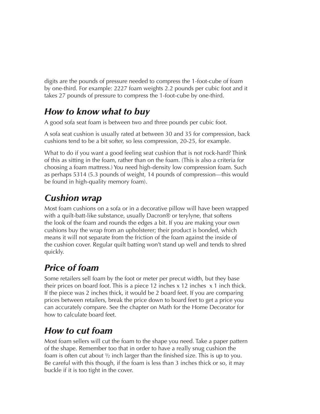digits are the pounds of pressure needed to compress the 1-foot-cube of foam by one-third. For example: 2227 foam weights 2.2 pounds per cubic foot and it takes 27 pounds of pressure to compress the 1-foot-cube by one-third.

### *How to know what to buy*

A good sofa seat foam is between two and three pounds per cubic foot.

A sofa seat cushion is usually rated at between 30 and 35 for compression, back cushions tend to be a bit softer, so less compression, 20-25, for example.

What to do if you want a good feeling seat cushion that is not rock-hard? Think of this as sitting in the foam, rather than on the foam. (This is also a criteria for choosing a foam mattress.) You need high-density low compression foam. Such as perhaps 5314 (5.3 pounds of weight, 14 pounds of compression—this would be found in high-quality memory foam).

### *Cushion wrap*

Most foam cushions on a sofa or in a decorative pillow will have been wrapped with a quilt-batt-like substance, usually Dacron® or terylyne, that softens the look of the foam and rounds the edges a bit. If you are making your own cushions buy the wrap from an upholsterer; their product is bonded, which means it will not separate from the friction of the foam against the inside of the cushion cover. Regular quilt batting won't stand up well and tends to shred quickly.

## *Price of foam*

Some retailers sell foam by the foot or meter per precut width, but they base their prices on board foot. This is a piece 12 inches  $x$  12 inches  $x$  1 inch thick. If the piece was 2 inches thick, it would be 2 board feet. If you are comparing prices between retailers, break the price down to board feet to get a price you can accurately compare. See the chapter on Math for the Home Decorator for how to calculate board feet.

### *How to cut foam*

Most foam sellers will cut the foam to the shape you need. Take a paper pattern of the shape. Remember too that in order to have a really snug cushion the foam is often cut about ½ inch larger than the finished size. This is up to you. Be careful with this though, if the foam is less than 3 inches thick or so, it may buckle if it is too tight in the cover.